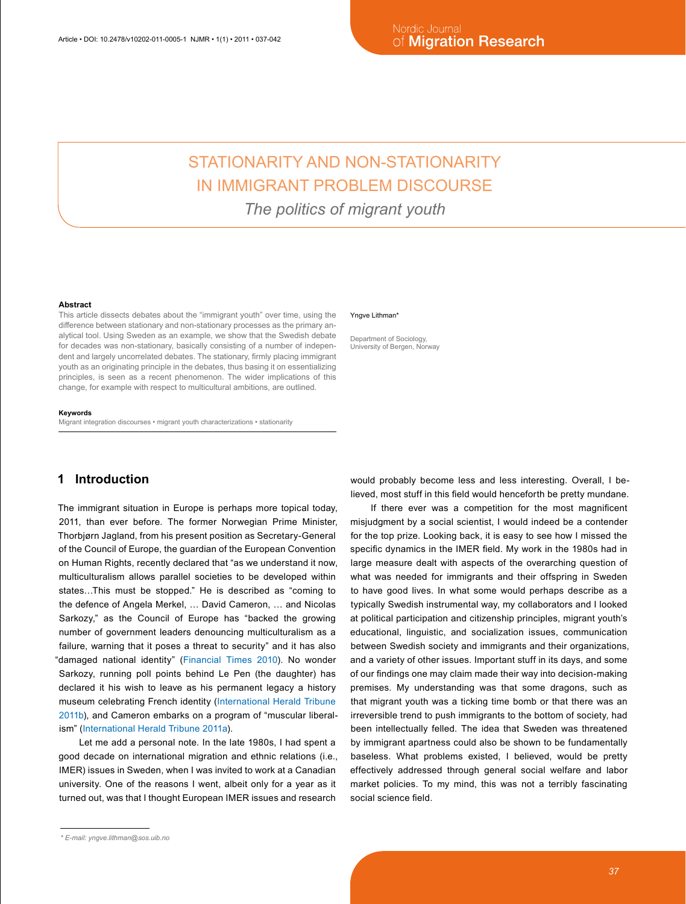# STATIONARITY AND NON-STATIONARITY IN IMMIGRANT PROBLEM DISCOURSE *The politics of migrant youth*

#### **Abstract**

This article dissects debates about the "immigrant youth" over time, using the difference between stationary and non-stationary processes as the primary analytical tool. Using Sweden as an example, we show that the Swedish debate for decades was non-stationary, basically consisting of a number of independent and largely uncorrelated debates. The stationary, firmly placing immigrant youth as an originating principle in the debates, thus basing it on essentializing principles, is seen as a recent phenomenon. The wider implications of this change, for example with respect to multicultural ambitions, are outlined.

#### **Keywords**

Migrant integration discourses • migrant youth characterizations • stationarity

### **1 Introduction**

The immigrant situation in Europe is perhaps more topical today, 2011, than ever before. The former Norwegian Prime Minister, Thorbjørn Jagland, from his present position as Secretary-General of the Council of Europe, the guardian of the European Convention on Human Rights, recently declared that "as we understand it now, multiculturalism allows parallel societies to be developed within states…This must be stopped." He is described as "coming to the defence of Angela Merkel, … David Cameron, … and Nicolas Sarkozy," as the Council of Europe has "backed the growing number of government leaders denouncing multiculturalism as a failure, warning that it poses a threat to security" and it has also "damaged national identity" ([Financial Times 2010\)](#page-5-0). No wonder Sarkozy, running poll points behind Le Pen (the daughter) has declared it his wish to leave as his permanent legacy a history museum celebrating French identity ([International Herald Tribune](#page-5-0)  [2011b](#page-5-0)), and Cameron embarks on a program of "muscular liberalism" ([International Herald Tribune](#page-5-0) 2011a).

Let me add a personal note. In the late 1980s, I had spent a good decade on international migration and ethnic relations (i.e., IMER) issues in Sweden, when I was invited to work at a Canadian university. One of the reasons I went, albeit only for a year as it turned out, was that I thought European IMER issues and research

#### Yngve Lithman\*

Department of Sociology, University of Bergen, Norway

would probably become less and less interesting. Overall, I believed, most stuff in this field would henceforth be pretty mundane.

If there ever was a competition for the most magnificent misjudgment by a social scientist, I would indeed be a contender for the top prize. Looking back, it is easy to see how I missed the specific dynamics in the IMER field. My work in the 1980s had in large measure dealt with aspects of the overarching question of what was needed for immigrants and their offspring in Sweden to have good lives. In what some would perhaps describe as a typically Swedish instrumental way, my collaborators and I looked at political participation and citizenship principles, migrant youth's educational, linguistic, and socialization issues, communication between Swedish society and immigrants and their organizations, and a variety of other issues. Important stuff in its days, and some of our findings one may claim made their way into decision-making premises. My understanding was that some dragons, such as that migrant youth was a ticking time bomb or that there was an irreversible trend to push immigrants to the bottom of society, had been intellectually felled. The idea that Sweden was threatened by immigrant apartness could also be shown to be fundamentally baseless. What problems existed, I believed, would be pretty effectively addressed through general social welfare and labor market policies. To my mind, this was not a terribly fascinating social science field.

*<sup>\*</sup> E-mail: yngve.lithman@sos.uib.no*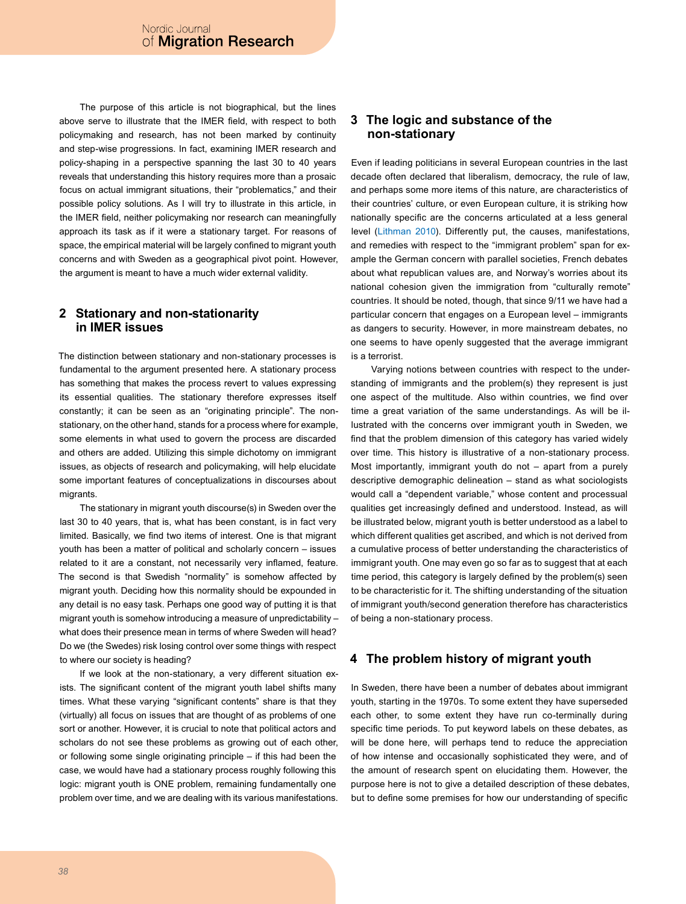The purpose of this article is not biographical, but the lines above serve to illustrate that the IMER field, with respect to both policymaking and research, has not been marked by continuity and step-wise progressions. In fact, examining IMER research and policy-shaping in a perspective spanning the last 30 to 40 years reveals that understanding this history requires more than a prosaic focus on actual immigrant situations, their "problematics," and their possible policy solutions. As I will try to illustrate in this article, in the IMER field, neither policymaking nor research can meaningfully approach its task as if it were a stationary target. For reasons of space, the empirical material will be largely confined to migrant youth concerns and with Sweden as a geographical pivot point. However, the argument is meant to have a much wider external validity.

### **2 Stationary and non-stationarity in IMER issues**

The distinction between stationary and non-stationary processes is fundamental to the argument presented here. A stationary process has something that makes the process revert to values expressing its essential qualities. The stationary therefore expresses itself constantly; it can be seen as an "originating principle". The nonstationary, on the other hand, stands for a process where for example, some elements in what used to govern the process are discarded and others are added. Utilizing this simple dichotomy on immigrant issues, as objects of research and policymaking, will help elucidate some important features of conceptualizations in discourses about migrants.

The stationary in migrant youth discourse(s) in Sweden over the last 30 to 40 years, that is, what has been constant, is in fact very limited. Basically, we find two items of interest. One is that migrant youth has been a matter of political and scholarly concern – issues related to it are a constant, not necessarily very inflamed, feature. The second is that Swedish "normality" is somehow affected by migrant youth. Deciding how this normality should be expounded in any detail is no easy task. Perhaps one good way of putting it is that migrant youth is somehow introducing a measure of unpredictability – what does their presence mean in terms of where Sweden will head? Do we (the Swedes) risk losing control over some things with respect to where our society is heading?

If we look at the non-stationary, a very different situation exists. The significant content of the migrant youth label shifts many times. What these varying "significant contents" share is that they (virtually) all focus on issues that are thought of as problems of one sort or another. However, it is crucial to note that political actors and scholars do not see these problems as growing out of each other, or following some single originating principle – if this had been the case, we would have had a stationary process roughly following this logic: migrant youth is ONE problem, remaining fundamentally one problem over time, and we are dealing with its various manifestations.

### **3 The logic and substance of the non-stationary**

Even if leading politicians in several European countries in the last decade often declared that liberalism, democracy, the rule of law, and perhaps some more items of this nature, are characteristics of their countries' culture, or even European culture, it is striking how nationally specific are the concerns articulated at a less general level ([Lithman 2010](#page-5-0)). Differently put, the causes, manifestations, and remedies with respect to the "immigrant problem" span for example the German concern with parallel societies, French debates about what republican values are, and Norway's worries about its national cohesion given the immigration from "culturally remote" countries. It should be noted, though, that since 9/11 we have had a particular concern that engages on a European level – immigrants as dangers to security. However, in more mainstream debates, no one seems to have openly suggested that the average immigrant is a terrorist.

Varying notions between countries with respect to the understanding of immigrants and the problem(s) they represent is just one aspect of the multitude. Also within countries, we find over time a great variation of the same understandings. As will be illustrated with the concerns over immigrant youth in Sweden, we find that the problem dimension of this category has varied widely over time. This history is illustrative of a non-stationary process. Most importantly, immigrant youth do not – apart from a purely descriptive demographic delineation – stand as what sociologists would call a "dependent variable," whose content and processual qualities get increasingly defined and understood. Instead, as will be illustrated below, migrant youth is better understood as a label to which different qualities get ascribed, and which is not derived from a cumulative process of better understanding the characteristics of immigrant youth. One may even go so far as to suggest that at each time period, this category is largely defined by the problem(s) seen to be characteristic for it. The shifting understanding of the situation of immigrant youth/second generation therefore has characteristics of being a non-stationary process.

### **4 The problem history of migrant youth**

In Sweden, there have been a number of debates about immigrant youth, starting in the 1970s. To some extent they have superseded each other, to some extent they have run co-terminally during specific time periods. To put keyword labels on these debates, as will be done here, will perhaps tend to reduce the appreciation of how intense and occasionally sophisticated they were, and of the amount of research spent on elucidating them. However, the purpose here is not to give a detailed description of these debates, but to define some premises for how our understanding of specific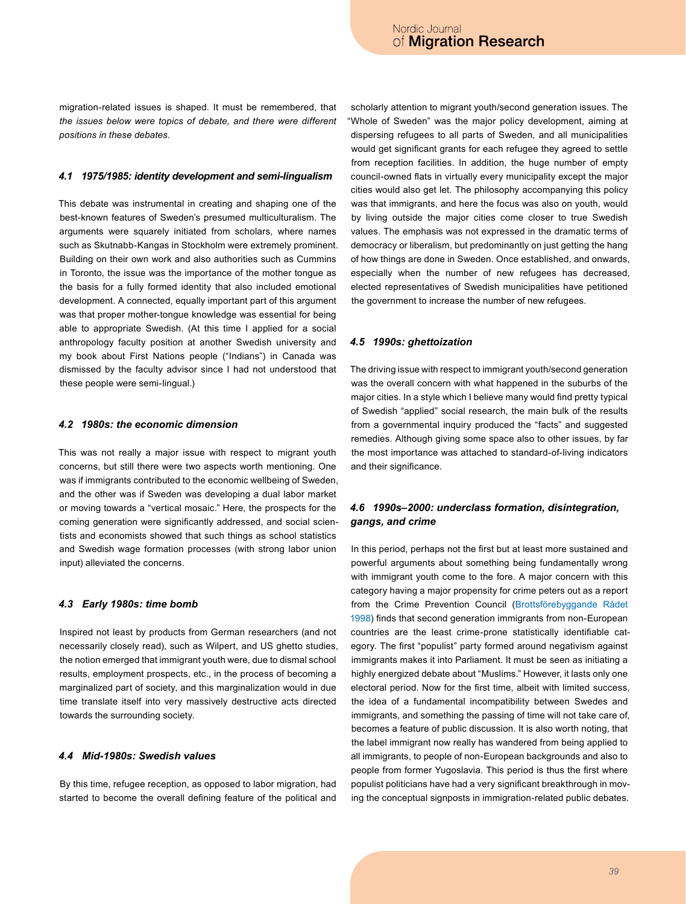migration-related issues is shaped. It must be remembered, that *the issues below were topics of debate, and there were different positions in these debates*.

#### *4.1 1975/1985: identity development and semi-lingualism*

This debate was instrumental in creating and shaping one of the best-known features of Sweden's presumed multiculturalism. The arguments were squarely initiated from scholars, where names such as Skutnabb-Kangas in Stockholm were extremely prominent. Building on their own work and also authorities such as Cummins in Toronto, the issue was the importance of the mother tongue as the basis for a fully formed identity that also included emotional development. A connected, equally important part of this argument was that proper mother-tongue knowledge was essential for being able to appropriate Swedish. (At this time I applied for a social anthropology faculty position at another Swedish university and my book about First Nations people ("Indians") in Canada was dismissed by the faculty advisor since I had not understood that these people were semi-lingual.)

#### *4.2 1980s: the economic dimension*

This was not really a major issue with respect to migrant youth concerns, but still there were two aspects worth mentioning. One was if immigrants contributed to the economic wellbeing of Sweden, and the other was if Sweden was developing a dual labor market or moving towards a "vertical mosaic." Here, the prospects for the coming generation were significantly addressed, and social scientists and economists showed that such things as school statistics and Swedish wage formation processes (with strong labor union input) alleviated the concerns.

#### *4.3 Early 1980s: time bomb*

Inspired not least by products from German researchers (and not necessarily closely read), such as Wilpert, and US ghetto studies, the notion emerged that immigrant youth were, due to dismal school results, employment prospects, etc., in the process of becoming a marginalized part of society, and this marginalization would in due time translate itself into very massively destructive acts directed towards the surrounding society.

#### *4.4 Mid-1980s: Swedish values*

By this time, refugee reception, as opposed to labor migration, had started to become the overall defining feature of the political and

scholarly attention to migrant youth/second generation issues. The "Whole of Sweden" was the major policy development, aiming at dispersing refugees to all parts of Sweden, and all municipalities would get significant grants for each refugee they agreed to settle from reception facilities. In addition, the huge number of empty council-owned flats in virtually every municipality except the major cities would also get let. The philosophy accompanying this policy was that immigrants, and here the focus was also on youth, would by living outside the major cities come closer to true Swedish values. The emphasis was not expressed in the dramatic terms of democracy or liberalism, but predominantly on just getting the hang of how things are done in Sweden. Once established, and onwards, especially when the number of new refugees has decreased, elected representatives of Swedish municipalities have petitioned the government to increase the number of new refugees.

#### *4.5 1990s: ghettoization*

The driving issue with respect to immigrant youth/second generation was the overall concern with what happened in the suburbs of the major cities. In a style which I believe many would find pretty typical of Swedish "applied" social research, the main bulk of the results from a governmental inquiry produced the "facts" and suggested remedies. Although giving some space also to other issues, by far the most importance was attached to standard-of-living indicators and their significance.

### *4.6 1990s–2000: underclass formation, disintegration, gangs, and crime*

In this period, perhaps not the first but at least more sustained and powerful arguments about something being fundamentally wrong with immigrant youth come to the fore. A major concern with this category having a major propensity for crime peters out as a report from the Crime Prevention Council [\(Brottsförebyggande Rådet](#page-5-0)  [1998\)](#page-5-0) finds that second generation immigrants from non-European countries are the least crime-prone statistically identifiable category. The first "populist" party formed around negativism against immigrants makes it into Parliament. It must be seen as initiating a highly energized debate about "Muslims." However, it lasts only one electoral period. Now for the first time, albeit with limited success, the idea of a fundamental incompatibility between Swedes and immigrants, and something the passing of time will not take care of, becomes a feature of public discussion. It is also worth noting, that the label immigrant now really has wandered from being applied to all immigrants, to people of non-European backgrounds and also to people from former Yugoslavia. This period is thus the first where populist politicians have had a very significant breakthrough in moving the conceptual signposts in immigration-related public debates.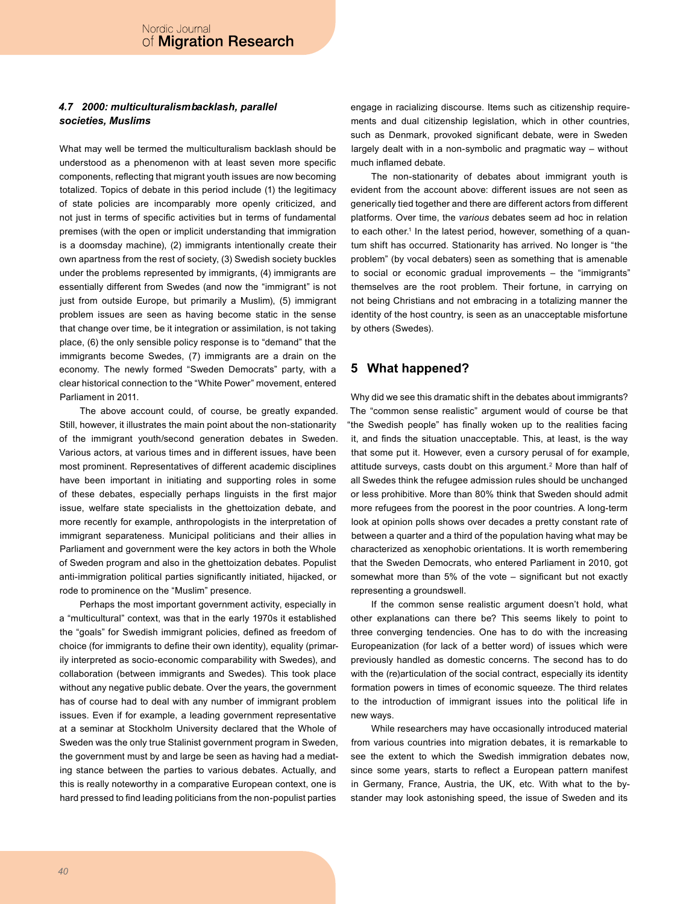### *4.7 2000: multiculturalism backlash, parallel societies, Muslims*

What may well be termed the multiculturalism backlash should be understood as a phenomenon with at least seven more specific components, reflecting that migrant youth issues are now becoming totalized. Topics of debate in this period include (1) the legitimacy of state policies are incomparably more openly criticized, and not just in terms of specific activities but in terms of fundamental premises (with the open or implicit understanding that immigration is a doomsday machine), (2) immigrants intentionally create their own apartness from the rest of society, (3) Swedish society buckles under the problems represented by immigrants, (4) immigrants are essentially different from Swedes (and now the "immigrant" is not just from outside Europe, but primarily a Muslim), (5) immigrant problem issues are seen as having become static in the sense that change over time, be it integration or assimilation, is not taking place, (6) the only sensible policy response is to "demand" that the immigrants become Swedes, (7) immigrants are a drain on the economy. The newly formed "Sweden Democrats" party, with a clear historical connection to the "White Power" movement, entered Parliament in 2011.

The above account could, of course, be greatly expanded. Still, however, it illustrates the main point about the non-stationarity of the immigrant youth/second generation debates in Sweden. Various actors, at various times and in different issues, have been most prominent. Representatives of different academic disciplines have been important in initiating and supporting roles in some of these debates, especially perhaps linguists in the first major issue, welfare state specialists in the ghettoization debate, and more recently for example, anthropologists in the interpretation of immigrant separateness. Municipal politicians and their allies in Parliament and government were the key actors in both the Whole of Sweden program and also in the ghettoization debates. Populist anti-immigration political parties significantly initiated, hijacked, or rode to prominence on the "Muslim" presence.

Perhaps the most important government activity, especially in a "multicultural" context, was that in the early 1970s it established the "goals" for Swedish immigrant policies, defined as freedom of choice (for immigrants to define their own identity), equality (primarily interpreted as socio-economic comparability with Swedes), and collaboration (between immigrants and Swedes). This took place without any negative public debate. Over the years, the government has of course had to deal with any number of immigrant problem issues. Even if for example, a leading government representative at a seminar at Stockholm University declared that the Whole of Sweden was the only true Stalinist government program in Sweden, the government must by and large be seen as having had a mediating stance between the parties to various debates. Actually, and this is really noteworthy in a comparative European context, one is hard pressed to find leading politicians from the non-populist parties

engage in racializing discourse. Items such as citizenship requirements and dual citizenship legislation, which in other countries, such as Denmark, provoked significant debate, were in Sweden largely dealt with in a non-symbolic and pragmatic way – without much inflamed debate.

The non-stationarity of debates about immigrant youth is evident from the account above: different issues are not seen as generically tied together and there are different actors from different platforms. Over time, the *various* debates seem ad hoc in relation to each other.<sup>1</sup> In the latest period, however, something of a quantum shift has occurred. Stationarity has arrived. No longer is "the problem" (by vocal debaters) seen as something that is amenable to social or economic gradual improvements – the "immigrants" themselves are the root problem. Their fortune, in carrying on not being Christians and not embracing in a totalizing manner the identity of the host country, is seen as an unacceptable misfortune by others (Swedes).

### **5 What happened?**

Why did we see this dramatic shift in the debates about immigrants? The "common sense realistic" argument would of course be that "the Swedish people" has finally woken up to the realities facing it, and finds the situation unacceptable. This, at least, is the way that some put it. However, even a cursory perusal of for example, attitude surveys, casts doubt on this argument.[2](#page-5-1) More than half of all Swedes think the refugee admission rules should be unchanged or less prohibitive. More than 80% think that Sweden should admit more refugees from the poorest in the poor countries. A long-term look at opinion polls shows over decades a pretty constant rate of between a quarter and a third of the population having what may be characterized as xenophobic orientations. It is worth remembering that the Sweden Democrats, who entered Parliament in 2010, got somewhat more than 5% of the vote – significant but not exactly representing a groundswell.

If the common sense realistic argument doesn't hold, what other explanations can there be? This seems likely to point to three converging tendencies. One has to do with the increasing Europeanization (for lack of a better word) of issues which were previously handled as domestic concerns. The second has to do with the (re)articulation of the social contract, especially its identity formation powers in times of economic squeeze. The third relates to the introduction of immigrant issues into the political life in new ways.

While researchers may have occasionally introduced material from various countries into migration debates, it is remarkable to see the extent to which the Swedish immigration debates now, since some years, starts to reflect a European pattern manifest in Germany, France, Austria, the UK, etc. With what to the bystander may look astonishing speed, the issue of Sweden and its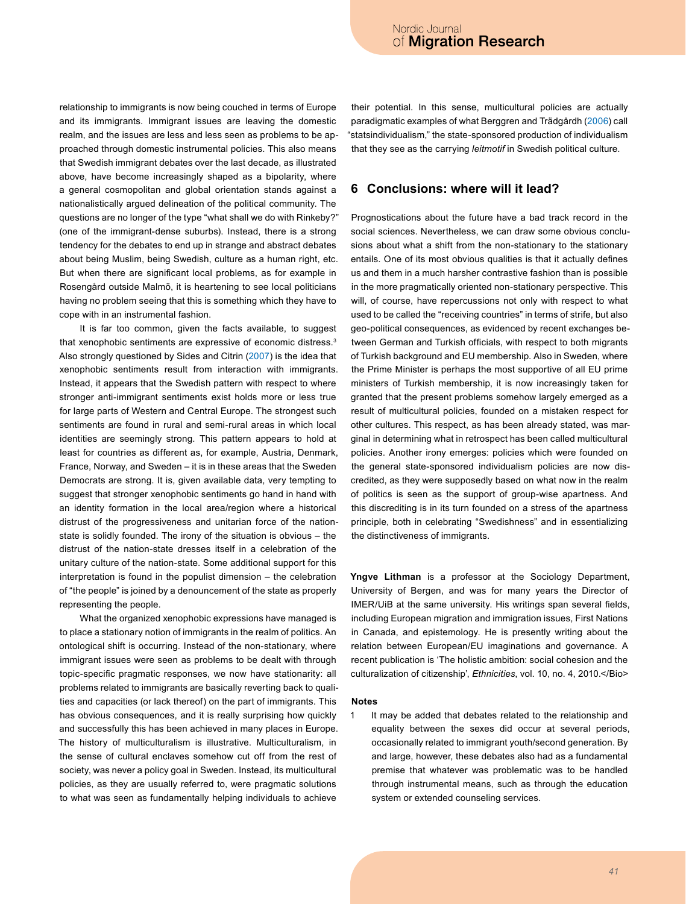relationship to immigrants is now being couched in terms of Europe and its immigrants. Immigrant issues are leaving the domestic realm, and the issues are less and less seen as problems to be approached through domestic instrumental policies. This also means that Swedish immigrant debates over the last decade, as illustrated above, have become increasingly shaped as a bipolarity, where a general cosmopolitan and global orientation stands against a nationalistically argued delineation of the political community. The questions are no longer of the type "what shall we do with Rinkeby?" (one of the immigrant-dense suburbs). Instead, there is a strong tendency for the debates to end up in strange and abstract debates about being Muslim, being Swedish, culture as a human right, etc. But when there are significant local problems, as for example in Rosengård outside Malmö, it is heartening to see local politicians having no problem seeing that this is something which they have to cope with in an instrumental fashion.

It is far too common, given the facts available, to suggest that xenophobic sentiments are expressive of economic distress.<sup>[3](#page-5-2)</sup> Also strongly questioned by Sides and Citrin [\(2007](#page-5-0)) is the idea that xenophobic sentiments result from interaction with immigrants. Instead, it appears that the Swedish pattern with respect to where stronger anti-immigrant sentiments exist holds more or less true for large parts of Western and Central Europe. The strongest such sentiments are found in rural and semi-rural areas in which local identities are seemingly strong. This pattern appears to hold at least for countries as different as, for example, Austria, Denmark, France, Norway, and Sweden – it is in these areas that the Sweden Democrats are strong. It is, given available data, very tempting to suggest that stronger xenophobic sentiments go hand in hand with an identity formation in the local area/region where a historical distrust of the progressiveness and unitarian force of the nationstate is solidly founded. The irony of the situation is obvious – the distrust of the nation-state dresses itself in a celebration of the unitary culture of the nation-state. Some additional support for this interpretation is found in the populist dimension – the celebration of "the people" is joined by a denouncement of the state as properly representing the people.

What the organized xenophobic expressions have managed is to place a stationary notion of immigrants in the realm of politics. An ontological shift is occurring. Instead of the non-stationary, where immigrant issues were seen as problems to be dealt with through topic-specific pragmatic responses, we now have stationarity: all problems related to immigrants are basically reverting back to qualities and capacities (or lack thereof) on the part of immigrants. This has obvious consequences, and it is really surprising how quickly and successfully this has been achieved in many places in Europe. The history of multiculturalism is illustrative. Multiculturalism, in the sense of cultural enclaves somehow cut off from the rest of society, was never a policy goal in Sweden. Instead, its multicultural policies, as they are usually referred to, were pragmatic solutions to what was seen as fundamentally helping individuals to achieve

their potential. In this sense, multicultural policies are actually paradigmatic examples of what Berggren and Trädgårdh [\(2006](#page-5-0)) call "statsindividualism," the state-sponsored production of individualism that they see as the carrying *leitmotif* in Swedish political culture.

### **6 Conclusions: where will it lead?**

Prognostications about the future have a bad track record in the social sciences. Nevertheless, we can draw some obvious conclusions about what a shift from the non-stationary to the stationary entails. One of its most obvious qualities is that it actually defines us and them in a much harsher contrastive fashion than is possible in the more pragmatically oriented non-stationary perspective. This will, of course, have repercussions not only with respect to what used to be called the "receiving countries" in terms of strife, but also geo-political consequences, as evidenced by recent exchanges between German and Turkish officials, with respect to both migrants of Turkish background and EU membership. Also in Sweden, where the Prime Minister is perhaps the most supportive of all EU prime ministers of Turkish membership, it is now increasingly taken for granted that the present problems somehow largely emerged as a result of multicultural policies, founded on a mistaken respect for other cultures. This respect, as has been already stated, was marginal in determining what in retrospect has been called multicultural policies. Another irony emerges: policies which were founded on the general state-sponsored individualism policies are now discredited, as they were supposedly based on what now in the realm of politics is seen as the support of group-wise apartness. And this discrediting is in its turn founded on a stress of the apartness principle, both in celebrating "Swedishness" and in essentializing the distinctiveness of immigrants.

**Yngve Lithman** is a professor at the Sociology Department, University of Bergen, and was for many years the Director of IMER/UiB at the same university. His writings span several fields, including European migration and immigration issues, First Nations in Canada, and epistemology. He is presently writing about the relation between European/EU imaginations and governance. A recent publication is 'The holistic ambition: social cohesion and the culturalization of citizenship', *Ethnicities*, vol. 10, no. 4, 2010.</Bio>

#### **Notes**

<span id="page-4-0"></span>1 It may be added that debates related to the relationship and equality between the sexes did occur at several periods, occasionally related to immigrant youth/second generation. By and large, however, these debates also had as a fundamental premise that whatever was problematic was to be handled through instrumental means, such as through the education system or extended counseling services.